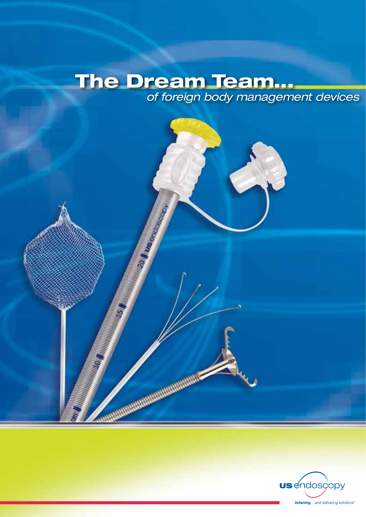# The Dream Team... *of foreign body management devices*

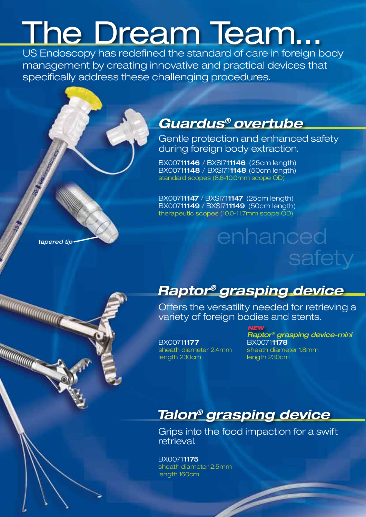# The Dream Team...

US Endoscopy has redefined the standard of care in foreign body management by creating innovative and practical devices that specifically address these challenging procedures.

### *Guardus® overtube*

Gentle protection and enhanced safety during foreign body extraction.

BX00711146 / BXSI711146 (25cm length) BX00711148 / BXSI711148 (50cm length) standard scopes (8.6-10.0mm scope OD)

BX00711147 / BXSI711147 (25cm length) BX00711149 / BXSI711149 (50cm length) therapeutic scopes (10.0-11.7mm scope OD)

### *tapered tip*

a aaddadadada

**WWW.WWW.** 

# *Raptor® grasping device*

Offers the versatility needed for retrieving a variety of foreign bodies and stents.

enhanced

### BX00711177

 *Raptor® grasping device-mini* sheath diameter 2.4mm sheath diameter 1.8mm length 230cm length 230cm *NEW*

safety

### *Talon® grasping device*

Grips into the food impaction for a swift retrieval.

BX00711175 sheath diameter 2.5mm length 160cm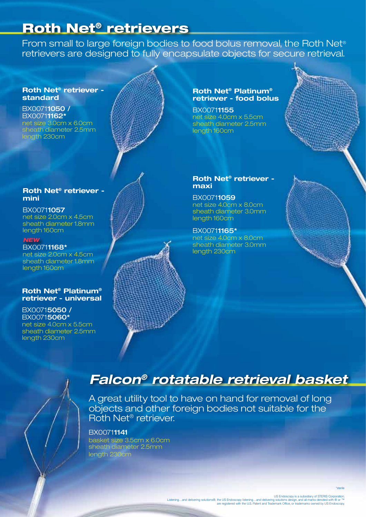### Roth Net® retrievers

From small to large foreign bodies to food bolus removal, the Roth Net® retrievers are designed to fully encapsulate objects for secure retrieval.

#### **Roth Net® retriever standard**

BX00711050 / BX00711162\* net size 3.0cm x 6.0cm sheath diameter 2.5mm length 230cm

#### **Roth Net® retriever mini**

BX00711057 net size 2.0cm x 4.5cm sheath diameter 1.8mm length 160cm

### *NEW*

BX00711168\* net size 2.0cm x 4.5cm sheath diameter 1.8mm length 160cm

#### **Roth Net® Platinum® retriever - universal**

BX00715050 / BX00715060\* net size 4.0cm x 5.5cm sheath diameter 2.5mm length 230cm

#### **Roth Net® Platinum® retriever - food bolus**

BX00711155 net size 4.0cm x 5.5cm sheath diameter 2.5mm length 160cm

#### **Roth Net® retriever maxi**

BX00711059 net size 4.0cm x 8.0cm sheath diameter 3.0mm length 160cm

BX00711165\* net size 4.0cm x 8.0cm sheath diameter 3.0mm length 230cm

### *Falcon® rotatable retrieval basket*

A great utility tool to have on hand for removal of long objects and other foreign bodies not suitable for the Roth Net® retriever.

#### BX00711141

basket size 3.5cm x 6.0cm sheath diameter 2.5mm length 230cm

\*sterile